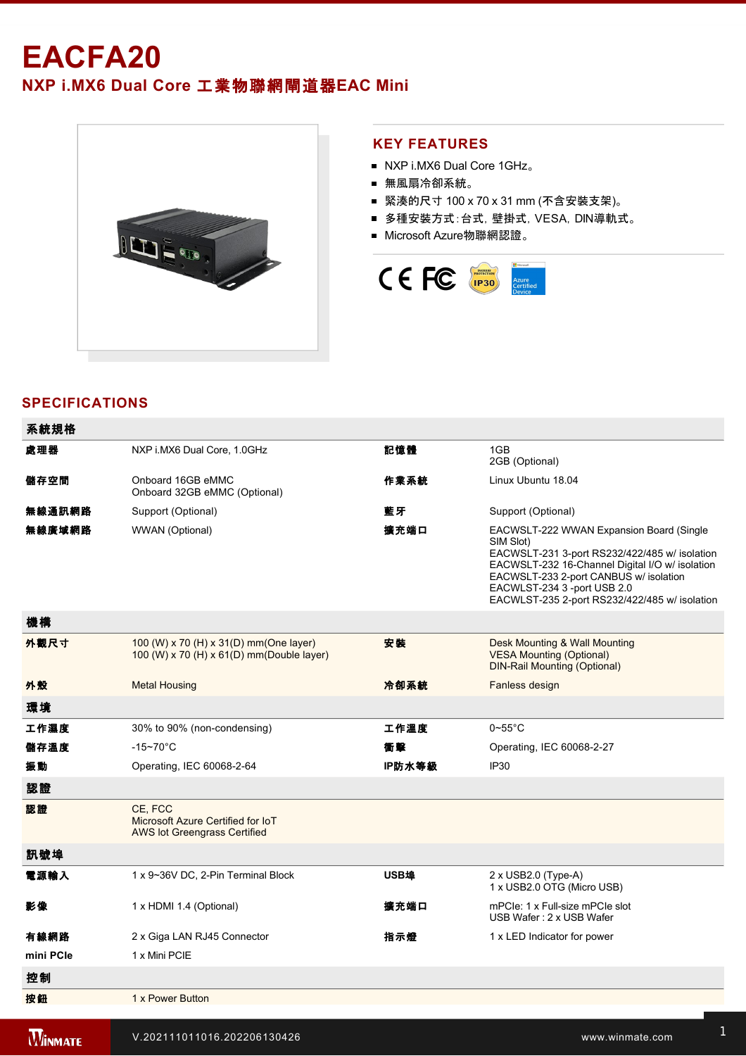# **EACFA20 NXP i.MX6 Dual Core** 工業物聯網閘道器**EAC Mini**



## **KEY FEATURES**

- NXP i.MX6 Dual Core 1GHz。
- 無風扇冷卻系統。
- 緊湊的尺寸 100 x 70 x 31 mm (不含安裝支架)。
- 多種安裝方式:台式,壁掛式,VESA,DIN導軌式。
- Microsoft Azure物聯網認證。



# **SPECIFICATIONS**

配件 Quick Start Guide

| 系統規格           |                                                                                      |        |                                                                                                                                                                                                                                                                                     |  |
|----------------|--------------------------------------------------------------------------------------|--------|-------------------------------------------------------------------------------------------------------------------------------------------------------------------------------------------------------------------------------------------------------------------------------------|--|
| 處理器            | NXP i.MX6 Dual Core, 1.0GHz                                                          | 記憶體    | 1GB<br>2GB (Optional)                                                                                                                                                                                                                                                               |  |
| 儲存空間           | Onboard 16GB eMMC<br>Onboard 32GB eMMC (Optional)                                    | 作業系統   | Linux Ubuntu 18.04                                                                                                                                                                                                                                                                  |  |
| 無線通訊網路         | Support (Optional)                                                                   | 藍牙     | Support (Optional)                                                                                                                                                                                                                                                                  |  |
| 無線廣域網路         | WWAN (Optional)                                                                      | 擴充端口   | EACWSLT-222 WWAN Expansion Board (Single<br>SIM Slot)<br>EACWSLT-231 3-port RS232/422/485 w/ isolation<br>EACWSLT-232 16-Channel Digital I/O w/ isolation<br>EACWSLT-233 2-port CANBUS w/ isolation<br>EACWLST-234 3 -port USB 2.0<br>EACWLST-235 2-port RS232/422/485 w/ isolation |  |
| 機構             |                                                                                      |        |                                                                                                                                                                                                                                                                                     |  |
| 外觀尺寸           | 100 (W) x 70 (H) x 31(D) mm (One layer)<br>100 (W) x 70 (H) x 61(D) mm(Double layer) | 安装     | Desk Mounting & Wall Mounting<br><b>VESA Mounting (Optional)</b><br><b>DIN-Rail Mounting (Optional)</b>                                                                                                                                                                             |  |
| 外殼             | <b>Metal Housing</b>                                                                 | 冷卻系統   | Fanless design                                                                                                                                                                                                                                                                      |  |
| 環境             |                                                                                      |        |                                                                                                                                                                                                                                                                                     |  |
| 工作濕度           | 30% to 90% (non-condensing)                                                          | 工作溫度   | $0 \sim 55^{\circ}$ C                                                                                                                                                                                                                                                               |  |
| 儲存溫度           | $-15 - 70^{\circ}$ C                                                                 | 衝撃     | Operating, IEC 60068-2-27                                                                                                                                                                                                                                                           |  |
| 振動             | Operating, IEC 60068-2-64                                                            | IP防水等級 | IP <sub>30</sub>                                                                                                                                                                                                                                                                    |  |
| 認證             |                                                                                      |        |                                                                                                                                                                                                                                                                                     |  |
| 認證             | CE. FCC<br>Microsoft Azure Certified for IoT<br><b>AWS lot Greengrass Certified</b>  |        |                                                                                                                                                                                                                                                                                     |  |
| 訊號埠            |                                                                                      |        |                                                                                                                                                                                                                                                                                     |  |
| 電源輸入           | 1 x 9~36V DC, 2-Pin Terminal Block                                                   | USB埠   | $2 \times$ USB2.0 (Type-A)<br>1 x USB2.0 OTG (Micro USB)                                                                                                                                                                                                                            |  |
| 影像             | 1 x HDMI 1.4 (Optional)                                                              | 擴充端口   | mPCle: 1 x Full-size mPCle slot<br>USB Wafer: 2 x USB Wafer                                                                                                                                                                                                                         |  |
| 有線網路           | 2 x Giga LAN RJ45 Connector                                                          | 指示燈    | 1 x LED Indicator for power                                                                                                                                                                                                                                                         |  |
| mini PCle      | 1 x Mini PCIE                                                                        |        |                                                                                                                                                                                                                                                                                     |  |
| 控制             |                                                                                      |        |                                                                                                                                                                                                                                                                                     |  |
| 按鈕             | 1 x Power Button                                                                     |        |                                                                                                                                                                                                                                                                                     |  |
| <b>WINMATE</b> | V.202111011016.202206130426                                                          |        | www.winmate.com                                                                                                                                                                                                                                                                     |  |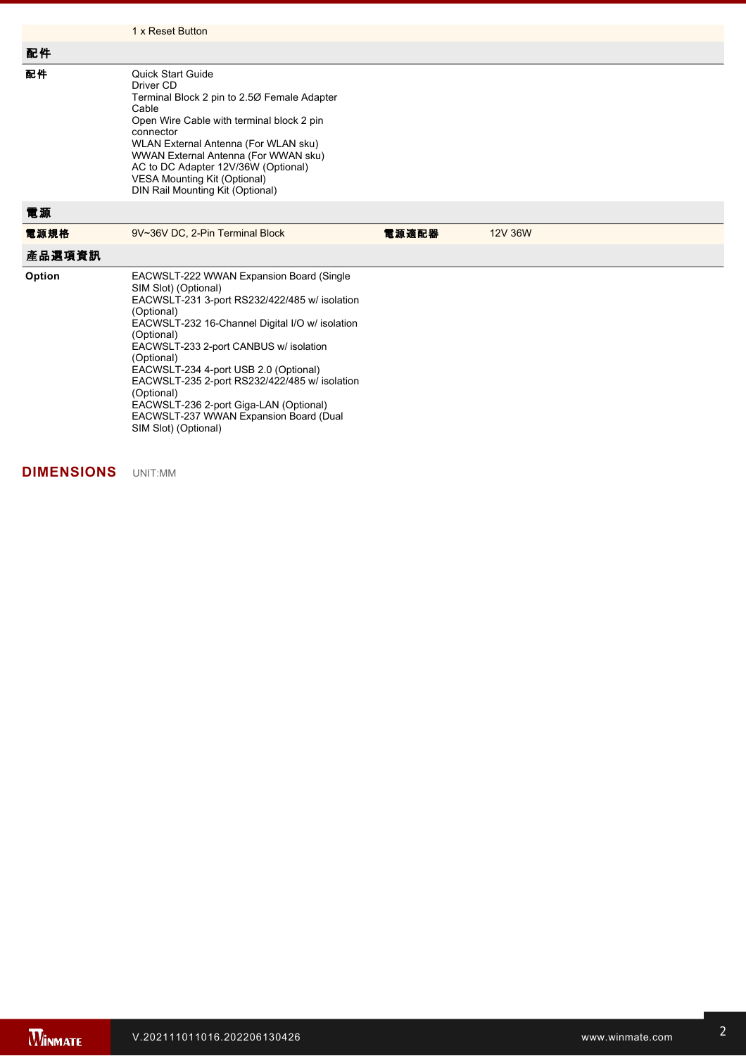|        | 1 x Reset Button                                                                                                                                                                                                                                                                                                                                          |       |         |  |
|--------|-----------------------------------------------------------------------------------------------------------------------------------------------------------------------------------------------------------------------------------------------------------------------------------------------------------------------------------------------------------|-------|---------|--|
| 配件     |                                                                                                                                                                                                                                                                                                                                                           |       |         |  |
| 配件     | <b>Quick Start Guide</b><br>Driver CD<br>Terminal Block 2 pin to 2.50 Female Adapter<br>Cable<br>Open Wire Cable with terminal block 2 pin<br>connector<br>WLAN External Antenna (For WLAN sku)<br>WWAN External Antenna (For WWAN sku)<br>AC to DC Adapter 12V/36W (Optional)<br><b>VESA Mounting Kit (Optional)</b><br>DIN Rail Mounting Kit (Optional) |       |         |  |
| 電源     |                                                                                                                                                                                                                                                                                                                                                           |       |         |  |
| 電源規格   | 9V~36V DC, 2-Pin Terminal Block                                                                                                                                                                                                                                                                                                                           | 電源適配器 | 12V 36W |  |
| 產品選項資訊 |                                                                                                                                                                                                                                                                                                                                                           |       |         |  |
| Option | EACWSLT-222 WWAN Expansion Board (Single<br>SIM Slot) (Optional)<br>EACWSLT-231 3-port RS232/422/485 w/ isolation<br>(Optional)<br>EACWSLT-232 16-Channel Digital I/O w/ isolation<br>(Optional)                                                                                                                                                          |       |         |  |

**DIMENSIONS**  UNIT:MM